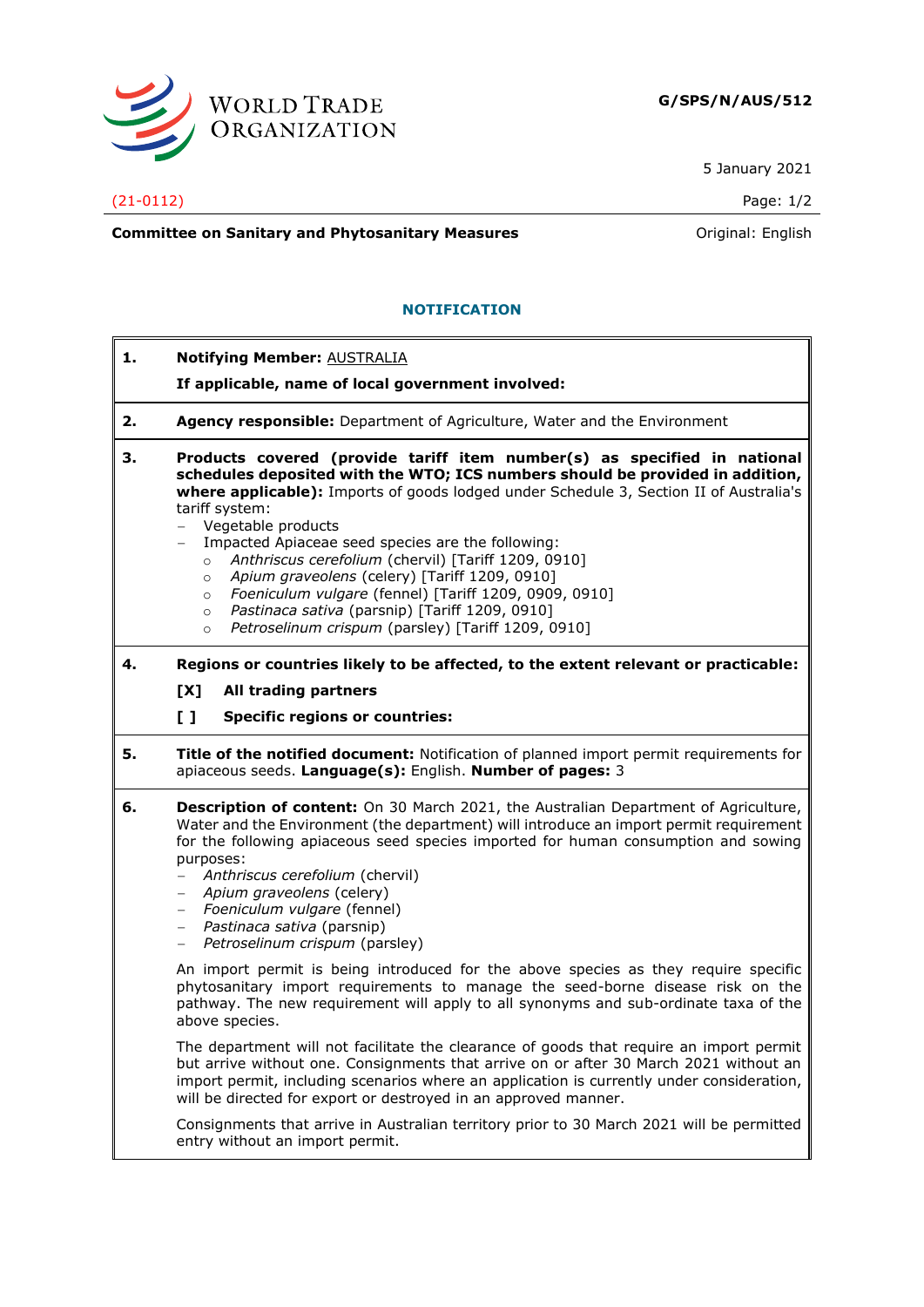

5 January 2021

## (21-0112) Page: 1/2

**Committee on Sanitary and Phytosanitary Measures Committee on Sanitary and Phytosanitary Measures Committee And American** 

## **NOTIFICATION**

- **1. Notifying Member:** AUSTRALIA
	- **If applicable, name of local government involved:**
- **2. Agency responsible:** Department of Agriculture, Water and the Environment
- **3. Products covered (provide tariff item number(s) as specified in national schedules deposited with the WTO; ICS numbers should be provided in addition, where applicable):** Imports of goods lodged under Schedule 3, Section II of Australia's tariff system:
	- − Vegetable products
	- − Impacted Apiaceae seed species are the following:
		- o *Anthriscus cerefolium* (chervil) [Tariff 1209, 0910]
		- o *Apium graveolens* (celery) [Tariff 1209, 0910]
		- o *Foeniculum vulgare* (fennel) [Tariff 1209, 0909, 0910]
		- o *Pastinaca sativa* (parsnip) [Tariff 1209, 0910]
		- o *Petroselinum crispum* (parsley) [Tariff 1209, 0910]
- **4. Regions or countries likely to be affected, to the extent relevant or practicable:**
	- **[X] All trading partners**
	- **[ ] Specific regions or countries:**
- **5. Title of the notified document:** Notification of planned import permit requirements for apiaceous seeds. **Language(s):** English. **Number of pages:** 3
- **6. Description of content:** On 30 March 2021, the Australian Department of Agriculture, Water and the Environment (the department) will introduce an import permit requirement for the following apiaceous seed species imported for human consumption and sowing purposes:
	- − *Anthriscus cerefolium* (chervil)
	- − *Apium graveolens* (celery)
	- − *Foeniculum vulgare* (fennel)
	- − *Pastinaca sativa* (parsnip)
	- − *Petroselinum crispum* (parsley)

An import permit is being introduced for the above species as they require specific phytosanitary import requirements to manage the seed-borne disease risk on the pathway. The new requirement will apply to all synonyms and sub-ordinate taxa of the above species.

The department will not facilitate the clearance of goods that require an import permit but arrive without one. Consignments that arrive on or after 30 March 2021 without an import permit, including scenarios where an application is currently under consideration, will be directed for export or destroved in an approved manner.

Consignments that arrive in Australian territory prior to 30 March 2021 will be permitted entry without an import permit.